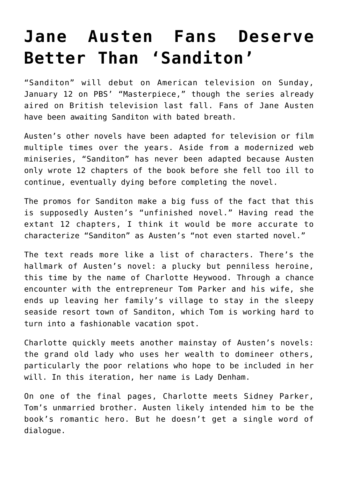## **[Jane Austen Fans Deserve](https://intellectualtakeout.org/2020/01/jane-austen-fans-deserve-better-than-sanditon/) [Better Than 'Sanditon'](https://intellectualtakeout.org/2020/01/jane-austen-fans-deserve-better-than-sanditon/)**

"Sanditon" will debut on American television on Sunday, January 12 on PBS' "Masterpiece," though the series already aired on British television last fall. Fans of Jane Austen have been awaiting Sanditon with bated breath.

Austen's other novels have been adapted for television or film multiple times over the years. Aside from a modernized web miniseries, "Sanditon" has never been adapted because Austen only wrote 12 chapters of the book before she fell too ill to continue, eventually dying before completing the novel.

The promos for Sanditon make a big fuss of the fact that this is supposedly Austen's "unfinished novel." Having read the extant 12 chapters, I think it would be more accurate to characterize "Sanditon" as Austen's "not even started novel."

The text reads more like a list of characters. There's the hallmark of Austen's novel: a plucky but penniless heroine, this time by the name of Charlotte Heywood. Through a chance encounter with the entrepreneur Tom Parker and his wife, she ends up leaving her family's village to stay in the sleepy seaside resort town of Sanditon, which Tom is working hard to turn into a fashionable vacation spot.

Charlotte quickly meets another mainstay of Austen's novels: the grand old lady who uses her wealth to domineer others, particularly the poor relations who hope to be included in her will. In this iteration, her name is Lady Denham.

On one of the final pages, Charlotte meets Sidney Parker, Tom's unmarried brother. Austen likely intended him to be the book's romantic hero. But he doesn't get a single word of dialogue.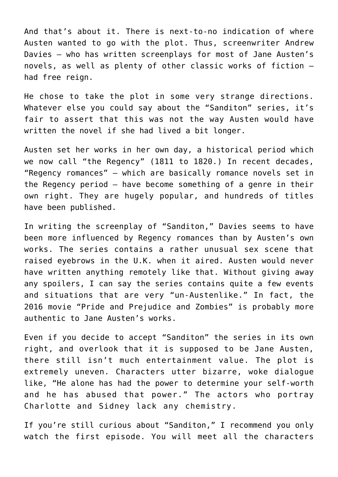And that's about it. There is next-to-no indication of where Austen wanted to go with the plot. Thus, screenwriter Andrew Davies – who has written screenplays for most of Jane Austen's novels, as well as plenty of other classic works of fiction – had free reign.

He chose to take the plot in some very strange directions. Whatever else you could say about the "Sanditon" series, it's fair to assert that this was not the way Austen would have written the novel if she had lived a bit longer.

Austen set her works in her own day, a historical period which we now call "the Regency" (1811 to 1820.) In recent decades, "Regency romances" – which are basically romance novels set in the Regency period – have become something of a genre in their own right. They are hugely popular, and hundreds of titles have been published.

In writing the screenplay of "Sanditon," Davies seems to have been more influenced by Regency romances than by Austen's own works. The series contains a rather unusual sex scene that raised eyebrows in the U.K. when it aired. Austen would never have written anything remotely like that. Without giving away any spoilers, I can say the series contains quite a few events and situations that are very "un-Austenlike." In fact, the 2016 movie "Pride and Prejudice and Zombies" is probably more authentic to Jane Austen's works.

Even if you decide to accept "Sanditon" the series in its own right, and overlook that it is supposed to be Jane Austen, there still isn't much entertainment value. The plot is extremely uneven. Characters utter bizarre, woke dialogue like, "He alone has had the power to determine your self-worth and he has abused that power." The actors who portray Charlotte and Sidney lack any chemistry.

If you're still curious about "Sanditon," I recommend you only watch the first episode. You will meet all the characters